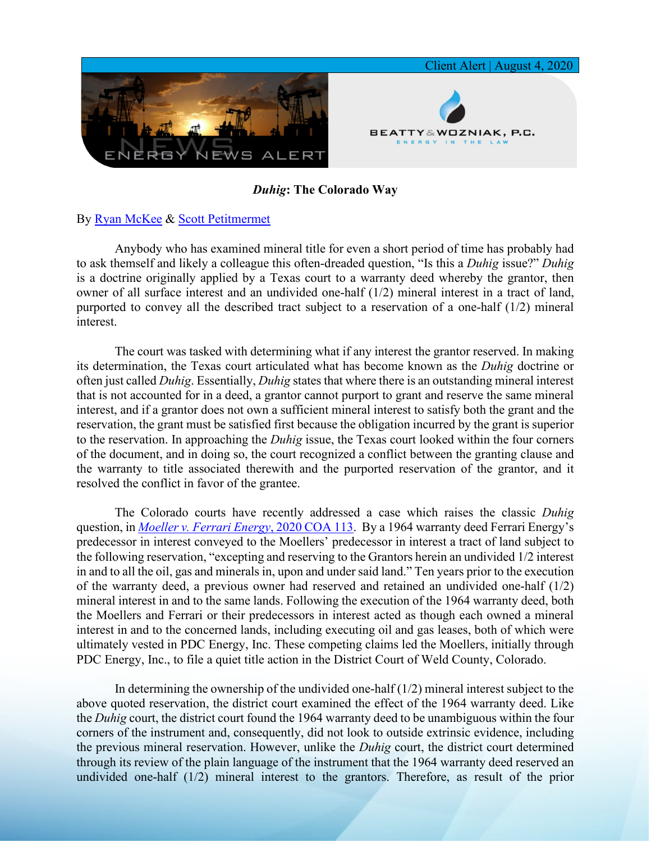

## *Duhig***: The Colorado Way**

## By [Ryan McKee](https://www.bwenergylaw.com/ryan-mckee) & [Scott Petitmermet](https://www.bwenergylaw.com/scott-petitmermet)

Anybody who has examined mineral title for even a short period of time has probably had to ask themself and likely a colleague this often-dreaded question, "Is this a *Duhig* issue?" *Duhig* is a doctrine originally applied by a Texas court to a warranty deed whereby the grantor, then owner of all surface interest and an undivided one-half (1/2) mineral interest in a tract of land, purported to convey all the described tract subject to a reservation of a one-half (1/2) mineral interest.

The court was tasked with determining what if any interest the grantor reserved. In making its determination, the Texas court articulated what has become known as the *Duhig* doctrine or often just called *Duhig*. Essentially, *Duhig* states that where there is an outstanding mineral interest that is not accounted for in a deed, a grantor cannot purport to grant and reserve the same mineral interest, and if a grantor does not own a sufficient mineral interest to satisfy both the grant and the reservation, the grant must be satisfied first because the obligation incurred by the grant is superior to the reservation. In approaching the *Duhig* issue, the Texas court looked within the four corners of the document, and in doing so, the court recognized a conflict between the granting clause and the warranty to title associated therewith and the purported reservation of the grantor, and it resolved the conflict in favor of the grantee.

The Colorado courts have recently addressed a case which raises the classic *Duhig* question, in *[Moeller v. Ferrari Energy](https://www.courts.state.co.us/Courts/Court_of_Appeals/Opinion/2020/18CA1844-PD.pdf)*, 2020 COA 113. By a 1964 warranty deed Ferrari Energy's predecessor in interest conveyed to the Moellers' predecessor in interest a tract of land subject to the following reservation, "excepting and reserving to the Grantors herein an undivided 1/2 interest in and to all the oil, gas and minerals in, upon and under said land." Ten years prior to the execution of the warranty deed, a previous owner had reserved and retained an undivided one-half (1/2) mineral interest in and to the same lands. Following the execution of the 1964 warranty deed, both the Moellers and Ferrari or their predecessors in interest acted as though each owned a mineral interest in and to the concerned lands, including executing oil and gas leases, both of which were ultimately vested in PDC Energy, Inc. These competing claims led the Moellers, initially through PDC Energy, Inc., to file a quiet title action in the District Court of Weld County, Colorado.

In determining the ownership of the undivided one-half  $(1/2)$  mineral interest subject to the above quoted reservation, the district court examined the effect of the 1964 warranty deed. Like the *Duhig* court, the district court found the 1964 warranty deed to be unambiguous within the four corners of the instrument and, consequently, did not look to outside extrinsic evidence, including the previous mineral reservation. However, unlike the *Duhig* court, the district court determined through its review of the plain language of the instrument that the 1964 warranty deed reserved an undivided one-half (1/2) mineral interest to the grantors. Therefore, as result of the prior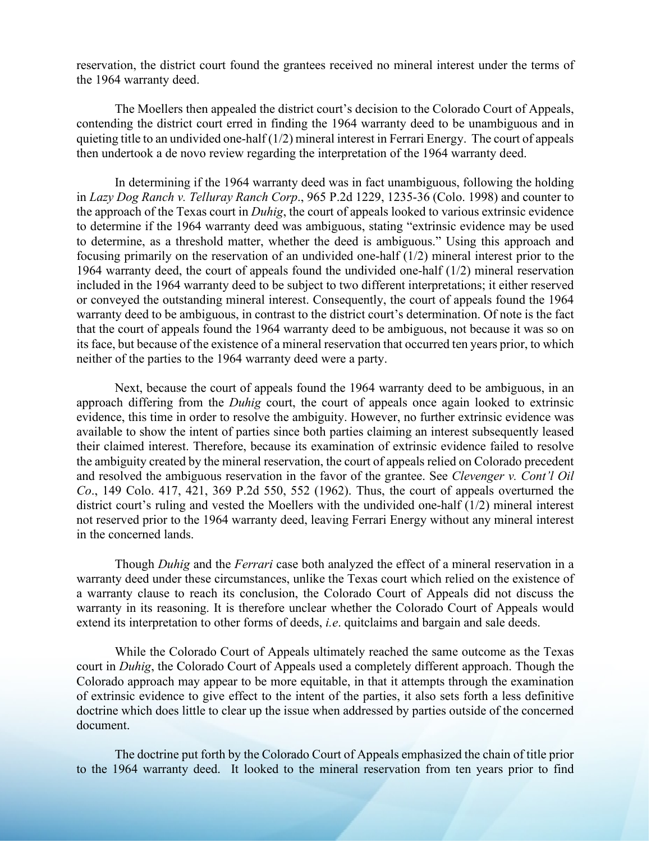reservation, the district court found the grantees received no mineral interest under the terms of the 1964 warranty deed.

The Moellers then appealed the district court's decision to the Colorado Court of Appeals, contending the district court erred in finding the 1964 warranty deed to be unambiguous and in quieting title to an undivided one-half (1/2) mineral interest in Ferrari Energy. The court of appeals then undertook a de novo review regarding the interpretation of the 1964 warranty deed.

In determining if the 1964 warranty deed was in fact unambiguous, following the holding in *Lazy Dog Ranch v. Telluray Ranch Corp*., 965 P.2d 1229, 1235-36 (Colo. 1998) and counter to the approach of the Texas court in *Duhig*, the court of appeals looked to various extrinsic evidence to determine if the 1964 warranty deed was ambiguous, stating "extrinsic evidence may be used to determine, as a threshold matter, whether the deed is ambiguous." Using this approach and focusing primarily on the reservation of an undivided one-half (1/2) mineral interest prior to the 1964 warranty deed, the court of appeals found the undivided one-half (1/2) mineral reservation included in the 1964 warranty deed to be subject to two different interpretations; it either reserved or conveyed the outstanding mineral interest. Consequently, the court of appeals found the 1964 warranty deed to be ambiguous, in contrast to the district court's determination. Of note is the fact that the court of appeals found the 1964 warranty deed to be ambiguous, not because it was so on its face, but because of the existence of a mineral reservation that occurred ten years prior, to which neither of the parties to the 1964 warranty deed were a party.

Next, because the court of appeals found the 1964 warranty deed to be ambiguous, in an approach differing from the *Duhig* court, the court of appeals once again looked to extrinsic evidence, this time in order to resolve the ambiguity. However, no further extrinsic evidence was available to show the intent of parties since both parties claiming an interest subsequently leased their claimed interest. Therefore, because its examination of extrinsic evidence failed to resolve the ambiguity created by the mineral reservation, the court of appeals relied on Colorado precedent and resolved the ambiguous reservation in the favor of the grantee. See *Clevenger v. Cont'l Oil Co*., 149 Colo. 417, 421, 369 P.2d 550, 552 (1962). Thus, the court of appeals overturned the district court's ruling and vested the Moellers with the undivided one-half (1/2) mineral interest not reserved prior to the 1964 warranty deed, leaving Ferrari Energy without any mineral interest in the concerned lands.

Though *Duhig* and the *Ferrari* case both analyzed the effect of a mineral reservation in a warranty deed under these circumstances, unlike the Texas court which relied on the existence of a warranty clause to reach its conclusion, the Colorado Court of Appeals did not discuss the warranty in its reasoning. It is therefore unclear whether the Colorado Court of Appeals would extend its interpretation to other forms of deeds, *i.e*. quitclaims and bargain and sale deeds.

While the Colorado Court of Appeals ultimately reached the same outcome as the Texas court in *Duhig*, the Colorado Court of Appeals used a completely different approach. Though the Colorado approach may appear to be more equitable, in that it attempts through the examination of extrinsic evidence to give effect to the intent of the parties, it also sets forth a less definitive doctrine which does little to clear up the issue when addressed by parties outside of the concerned document.

The doctrine put forth by the Colorado Court of Appeals emphasized the chain of title prior to the 1964 warranty deed. It looked to the mineral reservation from ten years prior to find